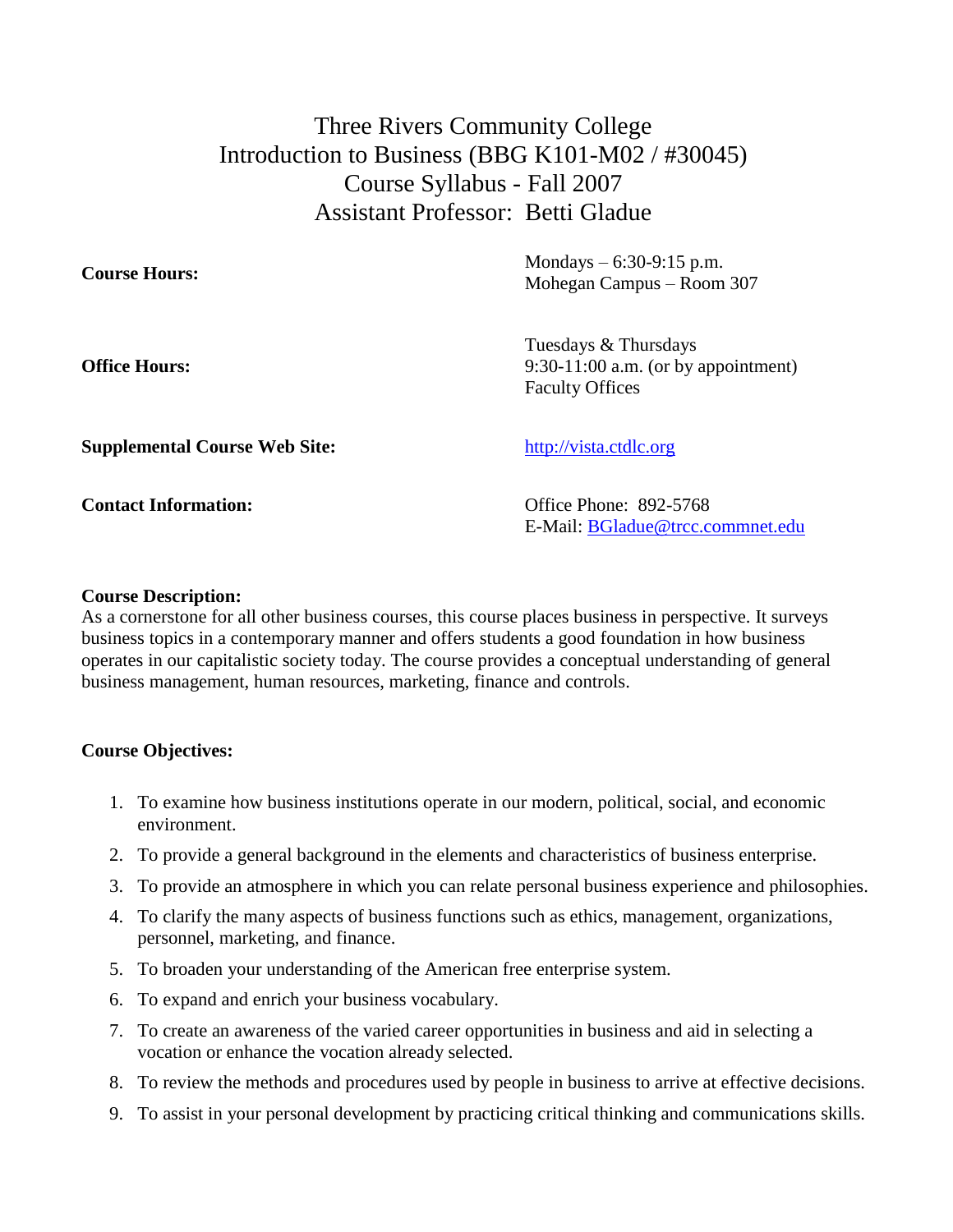Three Rivers Community College Introduction to Business (BBG K101-M02 / #30045) Course Syllabus - Fall 2007 Assistant Professor: Betti Gladue

**Course Hours:** Mondays – 6:30-9:15 p.m. Mohegan Campus – Room 307

**Office Hours:**

Tuesdays & Thursdays 9:30-11:00 a.m. (or by appointment) Faculty Offices

**Supplemental Course Web Site:** [http://vista.ctdlc.org](http://webct2.ctdlc.org/)

**Contact Information:** Office Phone: 892-5768 E-Mail: [BGladue@trcc.commnet.edu](mailto:BGladue@trcc.commnet.edu)

# **Course Description:**

As a cornerstone for all other business courses, this course places business in perspective. It surveys business topics in a contemporary manner and offers students a good foundation in how business operates in our capitalistic society today. The course provides a conceptual understanding of general business management, human resources, marketing, finance and controls.

# **Course Objectives:**

- 1. To examine how business institutions operate in our modern, political, social, and economic environment.
- 2. To provide a general background in the elements and characteristics of business enterprise.
- 3. To provide an atmosphere in which you can relate personal business experience and philosophies.
- 4. To clarify the many aspects of business functions such as ethics, management, organizations, personnel, marketing, and finance.
- 5. To broaden your understanding of the American free enterprise system.
- 6. To expand and enrich your business vocabulary.
- 7. To create an awareness of the varied career opportunities in business and aid in selecting a vocation or enhance the vocation already selected.
- 8. To review the methods and procedures used by people in business to arrive at effective decisions.
- 9. To assist in your personal development by practicing critical thinking and communications skills.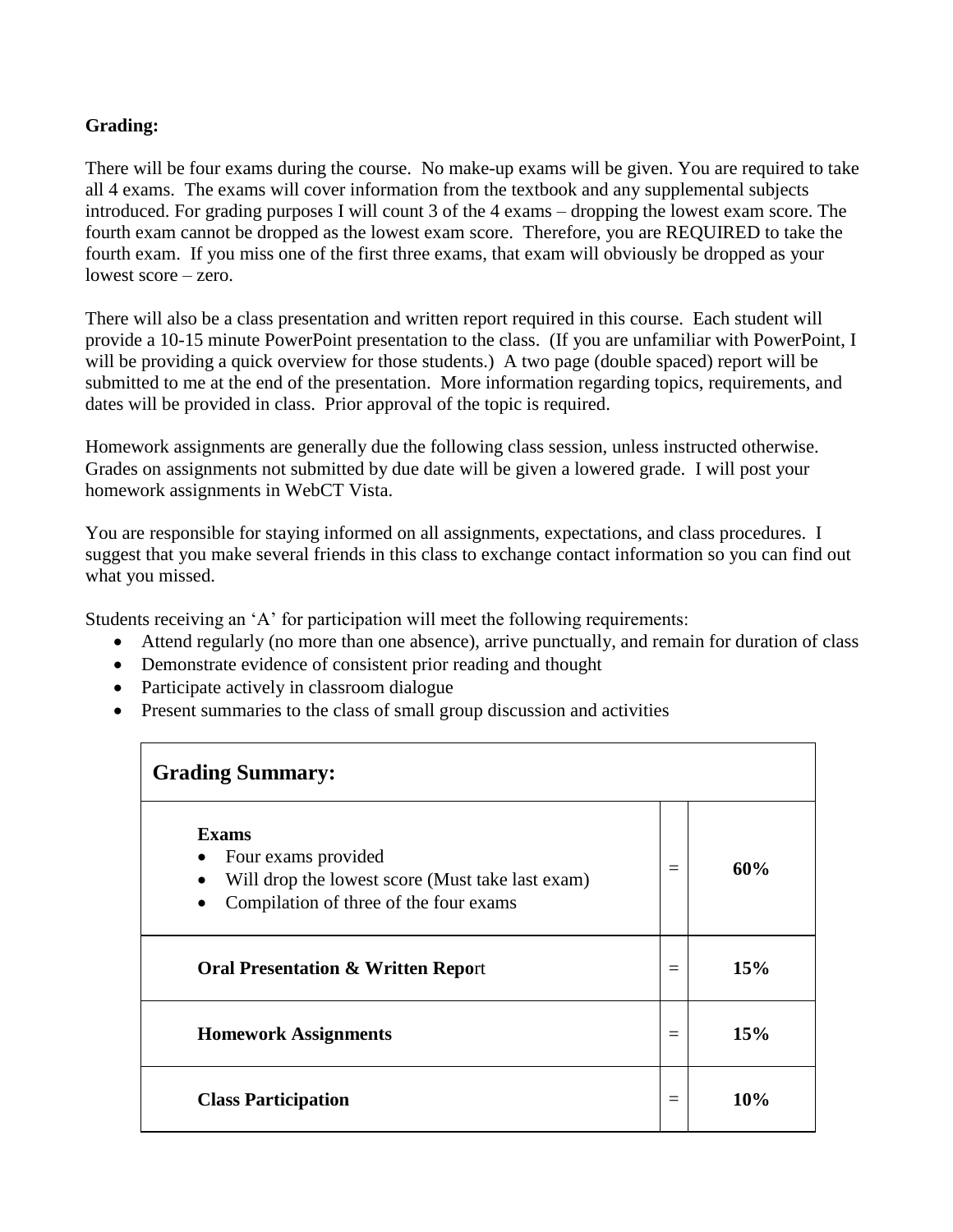# **Grading:**

There will be four exams during the course. No make-up exams will be given. You are required to take all 4 exams. The exams will cover information from the textbook and any supplemental subjects introduced. For grading purposes I will count 3 of the 4 exams – dropping the lowest exam score. The fourth exam cannot be dropped as the lowest exam score. Therefore, you are REQUIRED to take the fourth exam. If you miss one of the first three exams, that exam will obviously be dropped as your lowest score – zero.

There will also be a class presentation and written report required in this course. Each student will provide a 10-15 minute PowerPoint presentation to the class. (If you are unfamiliar with PowerPoint, I will be providing a quick overview for those students.) A two page (double spaced) report will be submitted to me at the end of the presentation. More information regarding topics, requirements, and dates will be provided in class. Prior approval of the topic is required.

Homework assignments are generally due the following class session, unless instructed otherwise. Grades on assignments not submitted by due date will be given a lowered grade. I will post your homework assignments in WebCT Vista.

You are responsible for staying informed on all assignments, expectations, and class procedures. I suggest that you make several friends in this class to exchange contact information so you can find out what you missed.

Students receiving an 'A' for participation will meet the following requirements:

- Attend regularly (no more than one absence), arrive punctually, and remain for duration of class
- Demonstrate evidence of consistent prior reading and thought
- Participate actively in classroom dialogue
- Present summaries to the class of small group discussion and activities

| <b>Grading Summary:</b>                                                                                                           |          |     |  |  |  |  |
|-----------------------------------------------------------------------------------------------------------------------------------|----------|-----|--|--|--|--|
| <b>Exams</b><br>Four exams provided<br>Will drop the lowest score (Must take last exam)<br>Compilation of three of the four exams | $=$      | 60% |  |  |  |  |
| <b>Oral Presentation &amp; Written Report</b>                                                                                     | $\equiv$ | 15% |  |  |  |  |
| <b>Homework Assignments</b>                                                                                                       | $=$      | 15% |  |  |  |  |
| <b>Class Participation</b>                                                                                                        | $\equiv$ | 10% |  |  |  |  |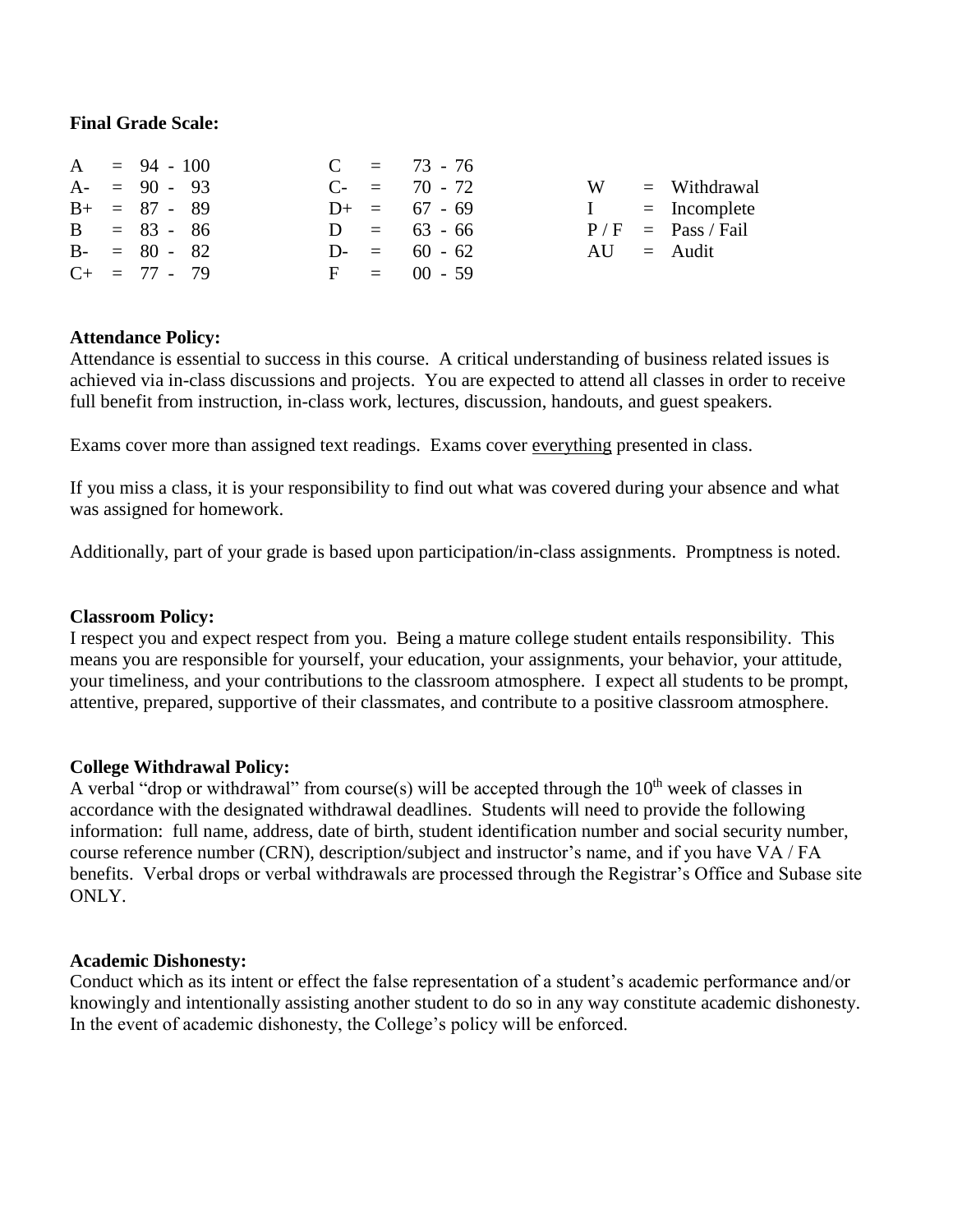#### **Final Grade Scale:**

|  | $A = 94 - 100$    |  | $C = 73 - 76$     |              |                     |
|--|-------------------|--|-------------------|--------------|---------------------|
|  | $A - = 90 - 93$   |  | $C_{-}$ = 70 - 72 | W            | $=$ Withdrawal      |
|  | $B+ = 87 - 89$    |  | $D+ = 67 - 69$    | $\mathbf{I}$ | $=$ Incomplete      |
|  | $B = 83 - 86$     |  | $D = 63 - 66$     |              | $P/F = Pass / Fail$ |
|  | $B - = 80 - 82$   |  | $D = 60 - 62$     |              | $AU =$ Audit        |
|  | $C_{+}$ = 77 - 79 |  | $F = 00 - 59$     |              |                     |

#### **Attendance Policy:**

Attendance is essential to success in this course. A critical understanding of business related issues is achieved via in-class discussions and projects. You are expected to attend all classes in order to receive full benefit from instruction, in-class work, lectures, discussion, handouts, and guest speakers.

Exams cover more than assigned text readings. Exams cover everything presented in class.

If you miss a class, it is your responsibility to find out what was covered during your absence and what was assigned for homework.

Additionally, part of your grade is based upon participation/in-class assignments. Promptness is noted.

#### **Classroom Policy:**

I respect you and expect respect from you. Being a mature college student entails responsibility. This means you are responsible for yourself, your education, your assignments, your behavior, your attitude, your timeliness, and your contributions to the classroom atmosphere. I expect all students to be prompt, attentive, prepared, supportive of their classmates, and contribute to a positive classroom atmosphere.

#### **College Withdrawal Policy:**

A verbal "drop or withdrawal" from course(s) will be accepted through the  $10<sup>th</sup>$  week of classes in accordance with the designated withdrawal deadlines. Students will need to provide the following information: full name, address, date of birth, student identification number and social security number, course reference number (CRN), description/subject and instructor's name, and if you have VA / FA benefits. Verbal drops or verbal withdrawals are processed through the Registrar's Office and Subase site ONLY.

#### **Academic Dishonesty:**

Conduct which as its intent or effect the false representation of a student's academic performance and/or knowingly and intentionally assisting another student to do so in any way constitute academic dishonesty. In the event of academic dishonesty, the College's policy will be enforced.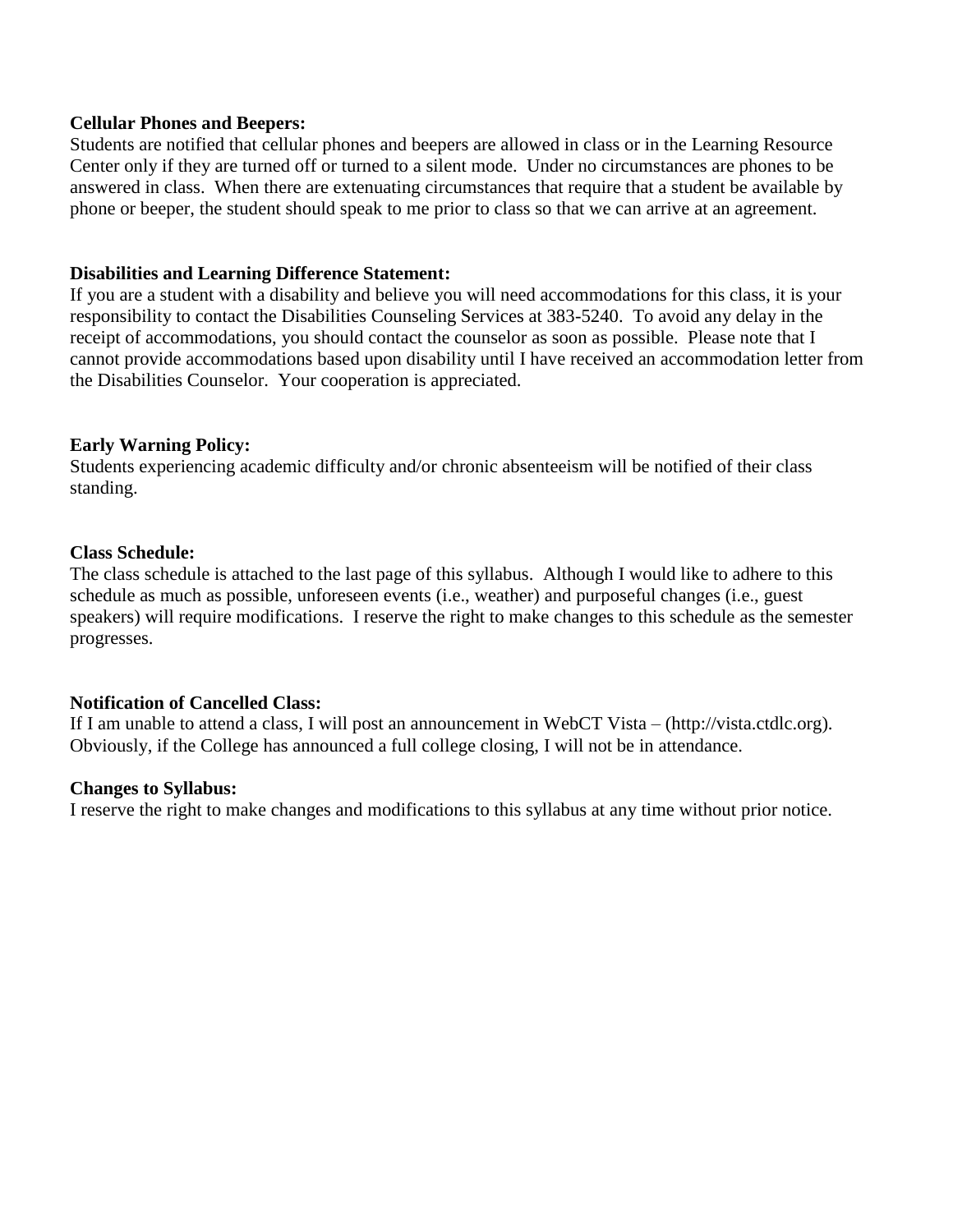#### **Cellular Phones and Beepers:**

Students are notified that cellular phones and beepers are allowed in class or in the Learning Resource Center only if they are turned off or turned to a silent mode. Under no circumstances are phones to be answered in class. When there are extenuating circumstances that require that a student be available by phone or beeper, the student should speak to me prior to class so that we can arrive at an agreement.

#### **Disabilities and Learning Difference Statement:**

If you are a student with a disability and believe you will need accommodations for this class, it is your responsibility to contact the Disabilities Counseling Services at 383-5240. To avoid any delay in the receipt of accommodations, you should contact the counselor as soon as possible. Please note that I cannot provide accommodations based upon disability until I have received an accommodation letter from the Disabilities Counselor. Your cooperation is appreciated.

# **Early Warning Policy:**

Students experiencing academic difficulty and/or chronic absenteeism will be notified of their class standing.

# **Class Schedule:**

The class schedule is attached to the last page of this syllabus. Although I would like to adhere to this schedule as much as possible, unforeseen events (i.e., weather) and purposeful changes (i.e., guest speakers) will require modifications. I reserve the right to make changes to this schedule as the semester progresses.

#### **Notification of Cancelled Class:**

If I am unable to attend a class, I will post an announcement in WebCT Vista – (http://vista.ctdlc.org). Obviously, if the College has announced a full college closing, I will not be in attendance.

#### **Changes to Syllabus:**

I reserve the right to make changes and modifications to this syllabus at any time without prior notice.